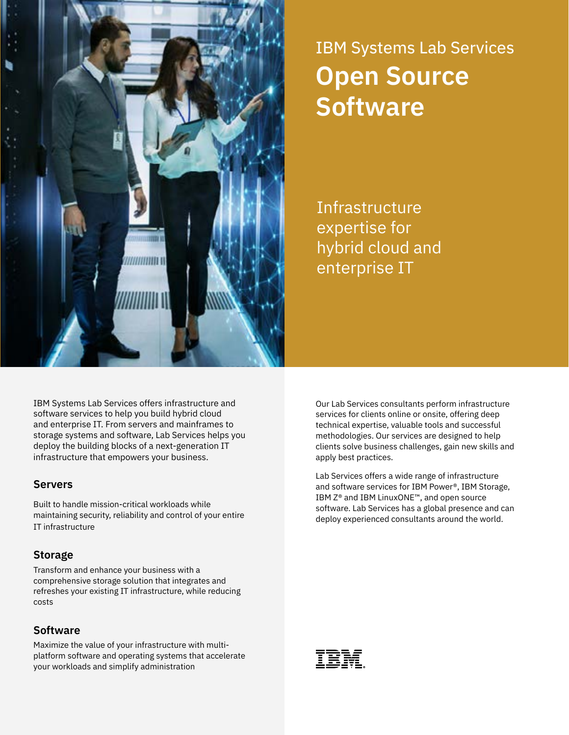

# IBM Systems Lab Services **Open Source Software**

**Infrastructure** expertise for hybrid cloud and enterprise IT

IBM Systems Lab Services offers infrastructure and software services to help you build hybrid cloud and enterprise IT. From servers and mainframes to storage systems and software, Lab Services helps you deploy the building blocks of a next-generation IT infrastructure that empowers your business.

## **Servers**

Built to handle mission-critical workloads while maintaining security, reliability and control of your entire IT infrastructure

## **Storage**

Transform and enhance your business with a comprehensive storage solution that integrates and refreshes your existing IT infrastructure, while reducing costs

## **Software**

Maximize the value of your infrastructure with multiplatform software and operating systems that accelerate your workloads and simplify administration

Our Lab Services consultants perform infrastructure services for clients online or onsite, offering deep technical expertise, valuable tools and successful methodologies. Our services are designed to help clients solve business challenges, gain new skills and apply best practices.

Lab Services offers a wide range of infrastructure and software services for IBM Power®, IBM Storage, IBM Z® and IBM LinuxONE™, and open source software. Lab Services has a global presence and can deploy experienced consultants around the world.

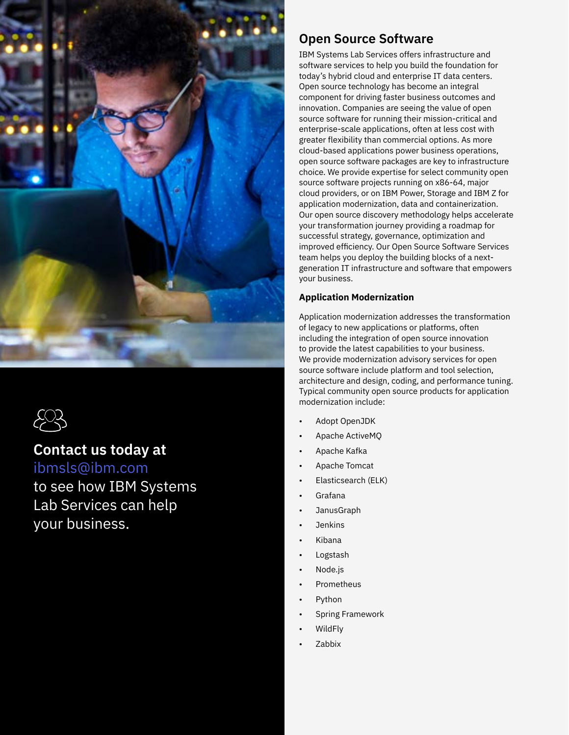



# **Contact us today at**

[ibmsls@ibm.com](mailto:ibmsls%40us.ibm.com?subject=IBM%20Systems%20Lab%20Services)

to see how IBM Systems Lab Services can help your business.

# **Open Source Software**

IBM Systems Lab Services offers infrastructure and software services to help you build the foundation for today's hybrid cloud and enterprise IT data centers. Open source technology has become an integral component for driving faster business outcomes and innovation. Companies are seeing the value of open source software for running their mission-critical and enterprise-scale applications, often at less cost with greater flexibility than commercial options. As more cloud-based applications power business operations, open source software packages are key to infrastructure choice. We provide expertise for select community open source software projects running on x86-64, major cloud providers, or on IBM Power, Storage and IBM Z for application modernization, data and containerization. Our open source discovery methodology helps accelerate your transformation journey providing a roadmap for successful strategy, governance, optimization and improved efficiency. Our Open Source Software Services team helps you deploy the building blocks of a nextgeneration IT infrastructure and software that empowers your business.

### **Application Modernization**

Application modernization addresses the transformation of legacy to new applications or platforms, often including the integration of open source innovation to provide the latest capabilities to your business. We provide modernization advisory services for open source software include platform and tool selection, architecture and design, coding, and performance tuning. Typical community open source products for application modernization include:

- Adopt OpenJDK
- Apache ActiveMQ
- Apache Kafka
- Apache Tomcat
- Elasticsearch (ELK)
- Grafana
- JanusGraph
- **Jenkins**
- Kibana
- **Logstash**
- Node.js
- Prometheus
- Python
- Spring Framework
- WildFly
- Zabbix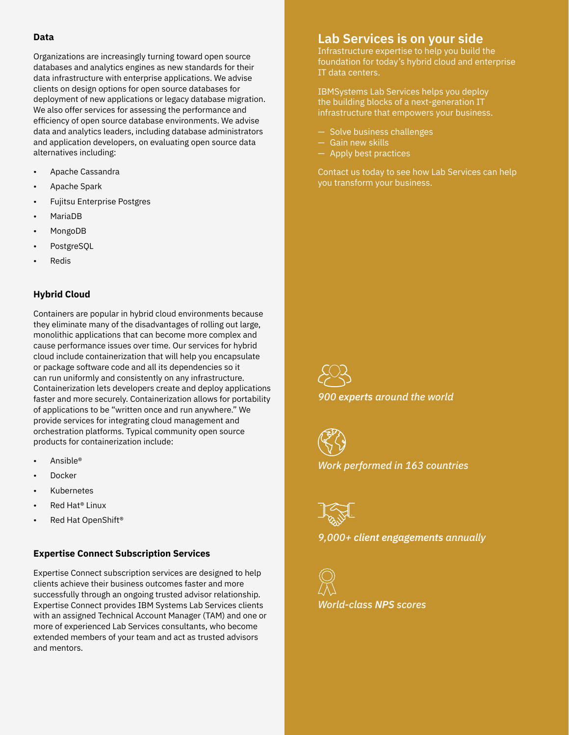#### **Data**

Organizations are increasingly turning toward open source databases and analytics engines as new standards for their data infrastructure with enterprise applications. We advise clients on design options for open source databases for deployment of new applications or legacy database migration. We also offer services for assessing the performance and efficiency of open source database environments. We advise data and analytics leaders, including database administrators and application developers, on evaluating open source data alternatives including:

- Apache Cassandra
- Apache Spark
- Fujitsu Enterprise Postgres
- MariaDB
- MongoDB
- PostgreSQL
- **Redis**

#### **Hybrid Cloud**

Containers are popular in hybrid cloud environments because they eliminate many of the disadvantages of rolling out large, monolithic applications that can become more complex and cause performance issues over time. Our services for hybrid cloud include containerization that will help you encapsulate or package software code and all its dependencies so it can run uniformly and consistently on any infrastructure. Containerization lets developers create and deploy applications faster and more securely. Containerization allows for portability of applications to be "written once and run anywhere." We provide services for integrating cloud management and orchestration platforms. Typical community open source products for containerization include:

- Ansible®
- **Docker**
- **Kubernetes**
- Red Hat<sup>®</sup> Linux
- Red Hat OpenShift<sup>®</sup>

#### **Expertise Connect Subscription Services**

Expertise Connect subscription services are designed to help clients achieve their business outcomes faster and more successfully through an ongoing trusted advisor relationship. Expertise Connect provides IBM Systems Lab Services clients with an assigned Technical Account Manager (TAM) and one or more of experienced Lab Services consultants, who become extended members of your team and act as trusted advisors and mentors.

## **Lab Services is on your side**

Infrastructure expertise to help you build the foundation for today's hybrid cloud and enterprise IT data centers.

IBMSystems Lab Services helps you deploy the building blocks of a next-generation IT infrastructure that empowers your business.

- Solve business challenges
- Gain new skills
- Apply best practices

Contact us today to see how Lab Services can help you transform your business.



*900 experts around the world*

*Work performed in 163 countries*



*9,000+ client engagements annually*